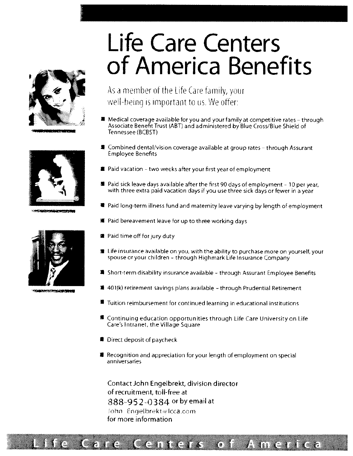# Life Care Centers of America Benefits







AGAS DE CANAL GEOMETER STAND



92.000 0.000 0.000 0.000 0.000 0.000 0.000 0.000

As a member of the Life Care family, your well-being is important to us. We offer:

- $\blacksquare$  Medical coverage available for you and your family at competitive rates through Associate Benefit Trust AST) and administered by Blue Cross/Blue Shield of Tennessee BCBST)
- # Combined dental/vision coverage available at group rates through Assurant Employee Benefits
- Paid vacation two weeks after your first year of employment
- I Paid sick leave days available after the first <sup>90</sup> days of employment <sup>10</sup> per year, with three extra paid vacation days if you use three sick days or fewer in a year
- <sup>■</sup> Paid long-term illness fund and maternity leave varying by length of employment
- # Paid bereavement leave for up to three working days
- Paid time off for jury duty
- I Life insurance available on you, with the ability to purchase more on yourself, your spouse or your children – through Highmark Life Insurance Company
- Short-term disability insurance available through Assurant Employee Benefits
- **# 401(k) retirement savings plans available through Prudential Retirement**
- 4 Tuition reimbursement for continued learning in educational institutions
- Continuing education opportunities through Life Care University on Life Care's Intranet, the Village Square
- **Direct deposit of paycheck**
- Recognition and appreciation for your length of employment on special anniversaries

Contact John Enqelbrekt, division director of recruitment, toll-free at 888-952-0384 or by email at John Engelbrekt@lcca.com for more informafion

## fe Care Centers of America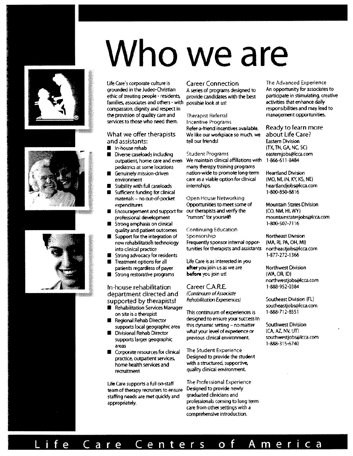# Who we are







ethic of treating people - residents, provide candidates with the best participate in stimulating, creativities<br>families, associates and others - with possible look at us! activities that enhance daily families, associates and others - with possible look at us! activities that enhance daily<br>compassion, dignity and respect in compassion, dignity and respect in responsibilities and may lead to the provision of quality care and responsibilities and to the provision of quality care and responsibilities and to the provision of quality care and resp the provision of quality care and Therapist Referral services to those who need them. Incentive Programs

## and assistants:

- 
- Diverse caseloads including Student Programs eastemiobs@lcc<br>contratient, home care and even We maintain clinical affiliations with 1-866-611-8484 outpatient, home care and even
- 
- 
- Sufficient funding for clinical<br>1800-800-800-850-850-8816-800-850-88160-8<br>1800-850-800-8160-88160-88160-88160-88160-850-8816  $m$ aterials – no out-of-pocket
- Incouragement and support for our therapists and verify the (CO, NM, HI, WY)<br>professional development "rumors" for yourself! mountainstatesic
- **Strong emphasis on clinical 1-800-507-7116**<br>
1-800-507-7116<br>  $\alpha$  vality and patient outcomes Continuing Education
- quality and patient outcomes Continuing E<br>Support for the integration of Sponsorship
- Strong advocacy for residents 1-877-272-1366<br>Treatment options for all life Care is as interested in you
- 
- 

## In-house rehabilitation Career C.A.R.E. 1-888-952-0384 department directed and (Continuum of Associate<br>supported by therapists! Rehabilitation Experiences)

- Southeastjobs@leca.com Services Manager<br>Son site is a therapist sontinuum of experiences is the same solution site is a therapist
- 
- supports larger geographic
- experiment gas gregory.com<br>areas 1-888-315-6740<br>Comorate resources for dinical The Student Experience **• Corporate resources for clinical practice, outpatient services,**

Life Care supports a full on-staff The Professional Experience<br>team of therany recruiters to ensure. Designed to provide newly team of therapy recruiters to ensure Designed to provide new<br>staffing peer's are met mickly and graduated dinicians and staffing needs are met quickly and appropriately. **Example 19 professionals coming to long term** 

Refer-a-friend incentives available. Ready to learn more<br>We like our workplace so much, we about Life Care? What we offer therapists We like our workplace so much, we about Life Co.<br>And assistants: The Mour friends Medicular Seatern Division

pediatrics at some locations many therapy training programs I Genuinely mission-driven nation-wide to promote long-term Heartland Division care as a viable option for clinical (MO, MI, IN, KY, KS, NE)<br>internships. heartlandiobs@lcca.com • Stability with full caseloads internships, heartlandjobs@kca.com heartlandjobs@k<br>• Sufficient funding for clinical

expenditures Opportunities to meet some of Mountain States Division

• Support for the integration of Sponsorship Support for the integration of Sponsorship Support (MA, RI, PA, OH, MI) new rehabilitation technology Frequently sponsor internal oppor- (MA, RI, PA, OH, MI)<br>into clinical practice strates for therapists and assistants northeastjobs@lcca.com tunities for therapists and assistants

Life Care is as interested in you<br>**after** you join us as we are patients regardless of payer after you join us as we are Northwest Division • Strong restorative programs before you join us! (WA, OR, ID)

This continuum of experiences is I Regional Rehab Director designed to ensure your success in<br>supports local geographic area this dynamic setting - no matter this dynamic setting – no matter Southwest Division<br>what your level of experience or (CA, AZ, NV, UT) • Divisional Rehab Director what your level of experience or (CA, AZ, NV, UT)<br>• supports larger genoranhic previous clinical environment southwestiobs@lcca.com

Designed to provide the student home heaith services and witha structured, supportive, recruitment quality clinical environment.

> care from other settings with <sup>a</sup> comprehensive introduction.

Life Care's corporate culture is Career Connection The Advanced Experience<br>corporated in the Judeo-Christian A series of programs designed to An opportunity for associates to A series of programs designed to An opportunity for associates to an opportunity for associates to  $\lambda$ 

I In-house rehab (TX, TN, GA, NC SC)

mountainstatesjobs@Icca.com

northwestjobs@kca.com

supported by therapists! Rehabilitation Experiences) Southeast Division (FL)<br>
Behabilitation Songsor Manager

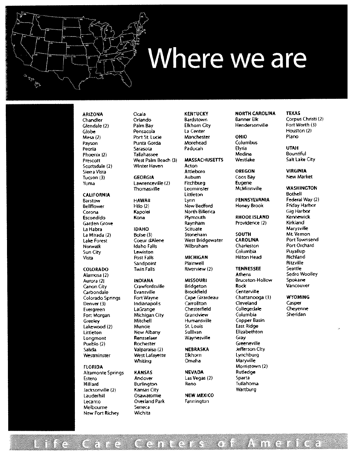# Where we are

ميّة.<br>م≀ ٣

Scottsdale (2) \Mnter Haven Anon

Canon City C,awfordsville Bridgeton Rock Vancouver Carbondale Evansville Brookfield Centerville Greeley Mitchell Humansville Copper Basin<br>Lakewood (2) Muncie – St. Louis – East Ridge Lakewood (2) Muncie St. Louis East Ridge Littleton New Albany Sullivan Elizabethton<br>Longmont Rensselaer Waynesville Gray U, Longmont Rensselaer Waynesville<br>Pueblo (2) Rochester Salida Valparaiso (2) NEBRASKA Jefferson City

Allamonte Springs KANSAS NEVADA Rutledge [stero Andover Las Vegas (2) Sparta Hohiard Burlington Reno Tuilahama JacKsonville {2 Kansas City Wartburg Lauderhill **Contact Osawatomie** Lecanto Cverland Park Farmington Melbourne Seneca New Port Richey Wichita

#### Chandler Orlando Bardstown Banner Elk Corpus Christi (2) Glendale (2) Palm Bay Elkhorn City Hendersonville Fort Worth (3) Globe Pensacola La Center Houston 2) Mesa 2) Port St. Lucie Manchester OHIO Piano Payson Punta Gorda Morehead Columbus Peoria Sarasota Paducah Elyria UTAH Phoenix 2) Tallahassee Medina Bountiful Prescott West Palm Beach (3) MASSACHUSETTS Westlake Salt Lake City

Sun City Lewiston Columbia Puyallup Vista Post Fall, MICHIGAN H1ton Head Ricb!and Sandpoint Plainwell Plainwell<br>Twin Falls Riverview (2) Ritter Reattle Seattle

West West Lafayette Elkhorn<br>Whiting Cmaha

Sierra Vista Attleboro DREGON VIRGINIA Tucson (3) GEORGIA Auburn Coos Bay New Market Yuma Lawrenceville (2) Fitchburg Eugene Thomasville Leominster McMinnville WASHINGTON CALIFORNIA Littleton Bothell Barstow HAWAII Lynn PENNSYLVANIA Federal Way (2)<br>Bellflower Hilo (2) New Bedford Honey Brook Friday Harbor Bellflower Hilo (2) New Bedford Honey Brook Corona Kapolei North Billerica Gig Harbor Escondido Kona Plymouth RHODE ISLAND Kennewick Garden Grove Raynham Providence 2) Kirkland La Habra IDAHO Scituate Marysville La Mirada (2) Boise (3) Stoneham SOUTH Mt. Vemon Lake Forest Coeur dAlene West Bridgewater CAROLINA PortTownsend Norwalk Idaho Falls Wilbraham Charleston Port Orchard

ARIZONA Ocala KENTUCKY NORTH CAROLINA TEXAS

Alarnosa 2) Athens Sedro Woolley Aurora (2) INDIANA MISSOURI Bruceton-HoIow Spokane Colorado Springs Fort Wayne Cape Gtrardeau Chattanooga (3) WYOMING<br>Denver (3) Cape Carrollton Ceveland Casper Denver 3) Indianapolis Carrollton C!ev&and Casper Evergreen LaGrange Chesterfield Collegedale Cheyenne Fort Morgan Michigan City Grandview Columbia Sheridan Greeneville (2)<br>Pueblo (2) Rochester Greeneville Maryville FLORIDA Morristown (2)

**COLORADO** Twin Falls Riverview (2) **TENNESSEE** Seattle Seattle<br>Alamosa (2) Athens Sedro Woolley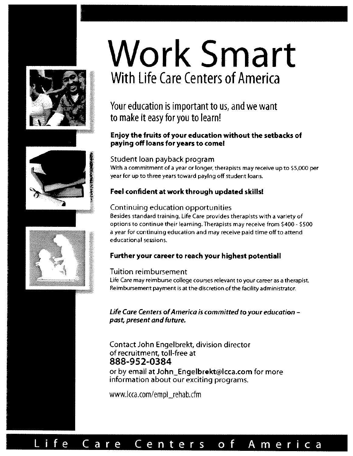



# Work Smart With Life Care Centers of America

## Your education is important to us, and we want to make it easy for you to learn!

#### Enjoy the fruits of your education without the setbacks of paying off loans for years to comel

#### Student loan payback program

With a commitment of a year or longer, therapists may receive up to \$5,000 per year for up to three years toward paying off student loans.

#### Feel confident at work through updated skills!

#### Continuing education opportunities

Besides standard training, Life Care provides therapists with a variety of options to continue their learning. Therapists may receive from \$400- \$500 <sup>a</sup> year for continuing education and may receive paid time off to attend educational sessions,

#### Further your career to reach your highest potential!

#### Tuition reimbursement

Life Care may reimburse college courses relevant to your career as <sup>a</sup> therapist. Reimbursement payment is at the discretion of the facility administrator.

Life Care Centers ofAmerica is committed to your education past, present and future.

### Contact John Engelbrekt, division director of recruitment, toll-free at 888-952-0384

or by email at John\_Engelbrekt@lcca.com for more information about our exciting programs.

www.kca.com/empl\_rehab.cfm



# ife Care Centers of America